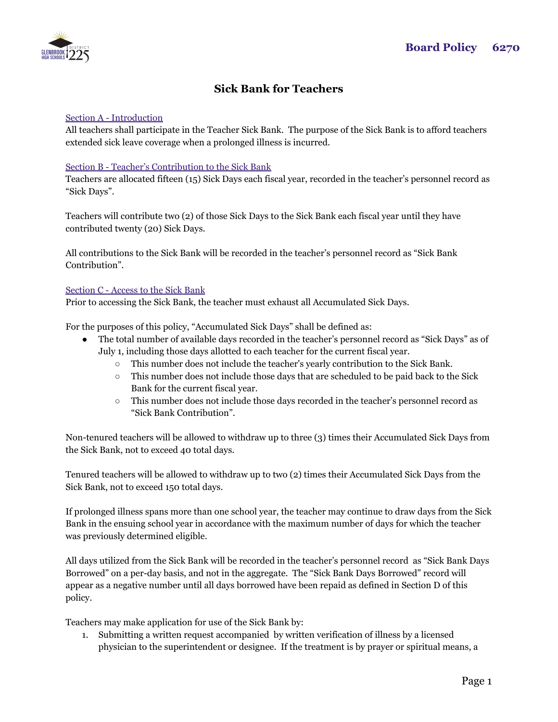# **Sick Bank for Teachers**

# Section A - Introduction

All teachers shall participate in the Teacher Sick Bank. The purpose of the Sick Bank is to afford teachers extended sick leave coverage when a prolonged illness is incurred.

### Section B - Teacher's Contribution to the Sick Bank

Teachers are allocated fifteen (15) Sick Days each fiscal year, recorded in the teacher's personnel record as "Sick Days".

Teachers will contribute two (2) of those Sick Days to the Sick Bank each fiscal year until they have contributed twenty (20) Sick Days.

All contributions to the Sick Bank will be recorded in the teacher's personnel record as "Sick Bank Contribution".

### Section C - Access to the Sick Bank

Prior to accessing the Sick Bank, the teacher must exhaust all Accumulated Sick Days.

For the purposes of this policy, "Accumulated Sick Days" shall be defined as:

- The total number of available days recorded in the teacher's personnel record as "Sick Days" as of July 1, including those days allotted to each teacher for the current fiscal year.
	- This number does not include the teacher's yearly contribution to the Sick Bank.
	- This number does not include those days that are scheduled to be paid back to the Sick Bank for the current fiscal year.
	- This number does not include those days recorded in the teacher's personnel record as "Sick Bank Contribution".

Non-tenured teachers will be allowed to withdraw up to three (3) times their Accumulated Sick Days from the Sick Bank, not to exceed 40 total days.

Tenured teachers will be allowed to withdraw up to two (2) times their Accumulated Sick Days from the Sick Bank, not to exceed 150 total days.

If prolonged illness spans more than one school year, the teacher may continue to draw days from the Sick Bank in the ensuing school year in accordance with the maximum number of days for which the teacher was previously determined eligible.

All days utilized from the Sick Bank will be recorded in the teacher's personnel record as "Sick Bank Days Borrowed" on a per-day basis, and not in the aggregate. The "Sick Bank Days Borrowed" record will appear as a negative number until all days borrowed have been repaid as defined in Section D of this policy.

Teachers may make application for use of the Sick Bank by:

1. Submitting a written request accompanied by written verification of illness by a licensed physician to the superintendent or designee. If the treatment is by prayer or spiritual means, a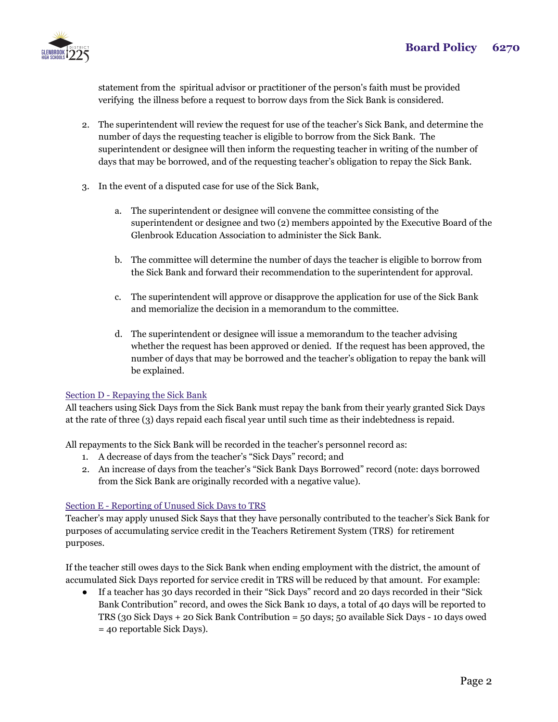

statement from the spiritual advisor or practitioner of the person's faith must be provided verifying the illness before a request to borrow days from the Sick Bank is considered.

- 2. The superintendent will review the request for use of the teacher's Sick Bank, and determine the number of days the requesting teacher is eligible to borrow from the Sick Bank. The superintendent or designee will then inform the requesting teacher in writing of the number of days that may be borrowed, and of the requesting teacher's obligation to repay the Sick Bank.
- 3. In the event of a disputed case for use of the Sick Bank,
	- a. The superintendent or designee will convene the committee consisting of the superintendent or designee and two (2) members appointed by the Executive Board of the Glenbrook Education Association to administer the Sick Bank.
	- b. The committee will determine the number of days the teacher is eligible to borrow from the Sick Bank and forward their recommendation to the superintendent for approval.
	- c. The superintendent will approve or disapprove the application for use of the Sick Bank and memorialize the decision in a memorandum to the committee.
	- d. The superintendent or designee will issue a memorandum to the teacher advising whether the request has been approved or denied. If the request has been approved, the number of days that may be borrowed and the teacher's obligation to repay the bank will be explained.

# Section D - Repaying the Sick Bank

All teachers using Sick Days from the Sick Bank must repay the bank from their yearly granted Sick Days at the rate of three (3) days repaid each fiscal year until such time as their indebtedness is repaid.

All repayments to the Sick Bank will be recorded in the teacher's personnel record as:

- 1. A decrease of days from the teacher's "Sick Days" record; and
- 2. An increase of days from the teacher's "Sick Bank Days Borrowed" record (note: days borrowed from the Sick Bank are originally recorded with a negative value).

# Section E - Reporting of Unused Sick Days to TRS

Teacher's may apply unused Sick Says that they have personally contributed to the teacher's Sick Bank for purposes of accumulating service credit in the Teachers Retirement System (TRS) for retirement purposes.

If the teacher still owes days to the Sick Bank when ending employment with the district, the amount of accumulated Sick Days reported for service credit in TRS will be reduced by that amount. For example:

● If a teacher has 30 days recorded in their "Sick Days" record and 20 days recorded in their "Sick Bank Contribution" record, and owes the Sick Bank 10 days, a total of 40 days will be reported to TRS (30 Sick Days + 20 Sick Bank Contribution = 50 days; 50 available Sick Days - 10 days owed = 40 reportable Sick Days).